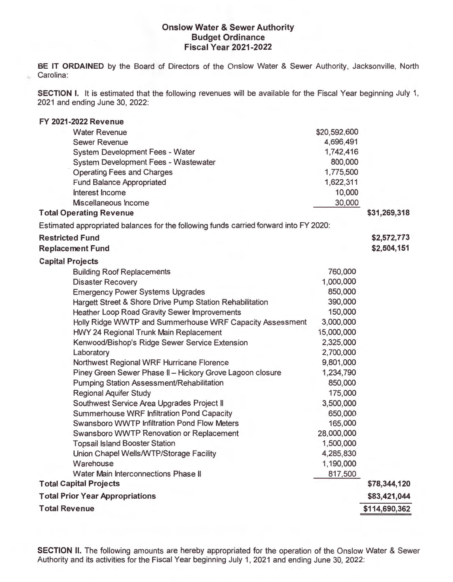## **Onslow Water & Sewer Authority Budget Ordinance Fiscal Year 2021-2022**

**BE IT ORDAINED** by the Board of Directors of the Onslow Water & Sewer Authority, Jacksonville, North Carolina:

ż

**SECTION** I. It is estimated that the following revenues will be available for the Fiscal Year beginning July 1, 2021 and ending June 30, 2022:

| <b>FY 2021-2022 Revenue</b>                                                           |              |               |
|---------------------------------------------------------------------------------------|--------------|---------------|
| <b>Water Revenue</b>                                                                  | \$20,592,600 |               |
| <b>Sewer Revenue</b>                                                                  | 4,696,491    |               |
| System Development Fees - Water                                                       | 1,742,416    |               |
| System Development Fees - Wastewater                                                  | 800,000      |               |
| <b>Operating Fees and Charges</b>                                                     | 1,775,500    |               |
| <b>Fund Balance Appropriated</b>                                                      | 1,622,311    |               |
| Interest Income                                                                       | 10,000       |               |
| Miscellaneous Income                                                                  | 30,000       |               |
| <b>Total Operating Revenue</b>                                                        |              | \$31,269,318  |
| Estimated appropriated balances for the following funds carried forward into FY 2020: |              |               |
| <b>Restricted Fund</b>                                                                |              | \$2,572,773   |
| <b>Replacement Fund</b>                                                               |              | \$2,504,151   |
| <b>Capital Projects</b>                                                               |              |               |
| <b>Building Roof Replacements</b>                                                     | 760,000      |               |
| <b>Disaster Recovery</b>                                                              | 1,000,000    |               |
| <b>Emergency Power Systems Upgrades</b>                                               | 850,000      |               |
| Hargett Street & Shore Drive Pump Station Rehabilitation                              | 390,000      |               |
| <b>Heather Loop Road Gravity Sewer Improvements</b>                                   | 150,000      |               |
| Holly Ridge WWTP and Summerhouse WRF Capacity Assessment                              | 3,000,000    |               |
| HWY 24 Regional Trunk Main Replacement                                                | 15,000,000   |               |
| Kenwood/Bishop's Ridge Sewer Service Extension                                        | 2,325,000    |               |
| Laboratory                                                                            | 2,700,000    |               |
| Northwest Regional WRF Hurricane Florence                                             | 9,801,000    |               |
| Piney Green Sewer Phase II - Hickory Grove Lagoon closure                             | 1,234,790    |               |
| <b>Pumping Station Assessment/Rehabilitation</b>                                      | 850,000      |               |
| <b>Regional Aquifer Study</b>                                                         | 175,000      |               |
| Southwest Service Area Upgrades Project II                                            | 3,500,000    |               |
| Summerhouse WRF Infiltration Pond Capacity                                            | 650,000      |               |
| Swansboro WWTP Infiltration Pond Flow Meters                                          | 165,000      |               |
| Swansboro WWTP Renovation or Replacement                                              | 28,000,000   |               |
| <b>Topsail Island Booster Station</b>                                                 | 1,500,000    |               |
| Union Chapel Wells/WTP/Storage Facility                                               | 4,285,830    |               |
| Warehouse                                                                             | 1,190,000    |               |
| Water Main Interconnections Phase II                                                  | 817,500      |               |
| <b>Total Capital Projects</b>                                                         |              | \$78,344,120  |
| <b>Total Prior Year Appropriations</b>                                                |              | \$83,421,044  |
| <b>Total Revenue</b>                                                                  |              | \$114,690,362 |

**SECTION** II. The following amounts are hereby appropriated for the operation of the Onslow Water & Sewer Authority and its activities for the Fiscal Year beginning July 1, 2021 and ending June 30, 2022: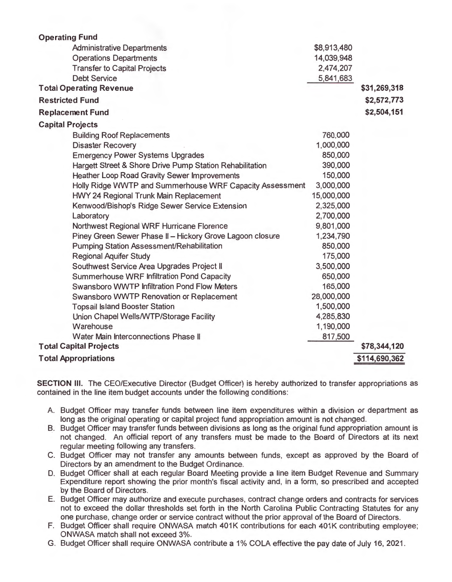| <b>Operating Fund</b>                                     |             |               |
|-----------------------------------------------------------|-------------|---------------|
| <b>Administrative Departments</b>                         | \$8,913,480 |               |
| <b>Operations Departments</b>                             | 14,039,948  |               |
| <b>Transfer to Capital Projects</b>                       | 2,474,207   |               |
| <b>Debt Service</b>                                       | 5,841,683   |               |
| <b>Total Operating Revenue</b>                            |             | \$31,269,318  |
| <b>Restricted Fund</b>                                    |             | \$2,572,773   |
| <b>Replacement Fund</b>                                   |             | \$2,504,151   |
| <b>Capital Projects</b>                                   |             |               |
| <b>Building Roof Replacements</b>                         | 760,000     |               |
| <b>Disaster Recovery</b>                                  | 1,000,000   |               |
| <b>Emergency Power Systems Upgrades</b>                   | 850,000     |               |
| Hargett Street & Shore Drive Pump Station Rehabilitation  | 390,000     |               |
| Heather Loop Road Gravity Sewer Improvements              | 150,000     |               |
| Holly Ridge WWTP and Summerhouse WRF Capacity Assessment  | 3,000,000   |               |
| <b>HWY 24 Regional Trunk Main Replacement</b>             | 15,000,000  |               |
| Kenwood/Bishop's Ridge Sewer Service Extension            | 2,325,000   |               |
| Laboratory                                                | 2,700,000   |               |
| Northwest Regional WRF Hurricane Florence                 | 9,801,000   |               |
| Piney Green Sewer Phase II - Hickory Grove Lagoon closure | 1,234,790   |               |
| <b>Pumping Station Assessment/Rehabilitation</b>          | 850,000     |               |
| <b>Regional Aquifer Study</b>                             | 175,000     |               |
| Southwest Service Area Upgrades Project II                | 3,500,000   |               |
| Summerhouse WRF Infiltration Pond Capacity                | 650,000     |               |
| Swansboro WWTP Infiltration Pond Flow Meters              | 165,000     |               |
| Swansboro WWTP Renovation or Replacement                  | 28,000,000  |               |
| <b>Topsail Island Booster Station</b>                     | 1,500,000   |               |
| Union Chapel Wells/WTP/Storage Facility                   | 4,285,830   |               |
| Warehouse                                                 | 1,190,000   |               |
| Water Main Interconnections Phase II                      | 817,500     |               |
| <b>Total Capital Projects</b>                             |             | \$78,344,120  |
| <b>Total Appropriations</b>                               |             | \$114,690,362 |

**SECTION III.** The CEO/Executive Director (Budget Officer) is hereby authorized to transfer appropriations as contained in the line item budget accounts under the following conditions:

- A. Budget Officer may transfer funds between line item expenditures within a division or department as long as the original operating or capital project fund appropriation amount is not changed.
- B. Budget Officer may transfer funds between divisions as long as the original fund appropriation amount is not changed. An official report of any transfers must be made to the Board of Directors at its next regular meeting following any transfers.
- C. Budget Officer may not transfer any amounts between funds, except as approved by the Board of Directors by an amendment to the Budget Ordinance.
- D. Budget Officer shall at each regular Board Meeting provide a line item Budget Revenue and Summary Expenditure report showing the prior month's fiscal activity and, in a form, so prescribed and accepted by the Board of Directors.
- E. Budget Officer may authorize and execute purchases, contract change orders and contracts for services not to exceed the dollar thresholds set forth in the North Carolina Public Contracting Statutes for any one purchase, change order or service contract without the prior approval of the Board of Directors.
- F. Budget Officer shall require ONWASA match 401K contributions for each 401K contributing employee; ONWASA match shall not exceed 3%.
- G. Budget Officer shall require ONWASA contribute a 1% COLA effective the pay date of July 16, 2021.